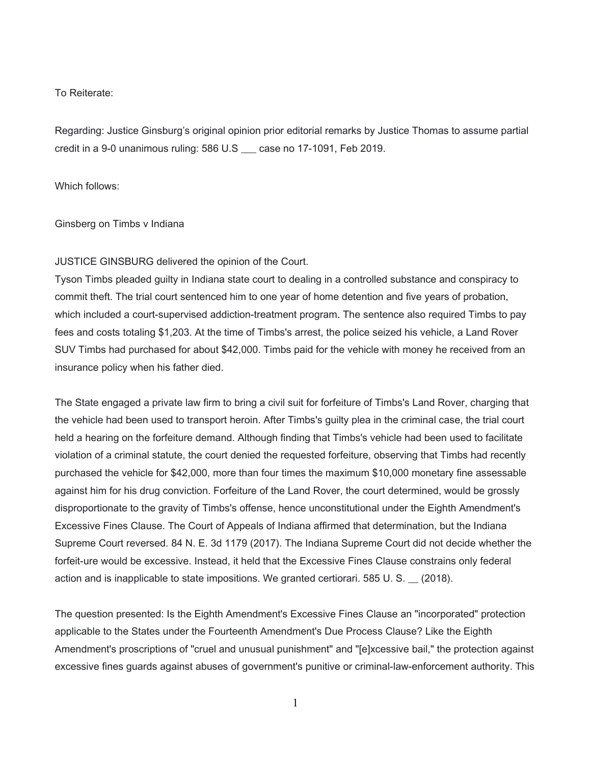## To Reiterate:

Regarding: Justice Ginsburg's original opinion prior editorial remarks by Justice Thomas to assume partial credit in a 9-0 unanimous ruling: 586 U.S \_\_\_ case no 17-1091, Feb 2019.

Which follows:

Ginsberg on Timbs v Indiana

# JUSTICE GINSBURG delivered the opinion of the Court.

Tyson Timbs pleaded guilty in Indiana state court to dealing in a controlled substance and conspiracy to commit theft. The trial court sentenced him to one year of home detention and five years of probation, which included a court-supervised addiction-treatment program. The sentence also required Timbs to pay fees and costs totaling \$1,203. At the time of Timbs's arrest, the police seized his vehicle, a Land Rover SUV Timbs had purchased for about \$42,000. Timbs paid for the vehicle with money he received from an insurance policy when his father died.

The State engaged a private law firm to bring a civil suit for forfeiture of Timbs's Land Rover, charging that the vehicle had been used to transport heroin. After Timbs's guilty plea in the criminal case, the trial court held a hearing on the forfeiture demand. Although finding that Timbs's vehicle had been used to facilitate violation of a criminal statute, the court denied the requested forfeiture, observing that Timbs had recently purchased the vehicle for \$42,000, more than four times the maximum \$10,000 monetary fine assessable against him for his drug conviction. Forfeiture of the Land Rover, the court determined, would be grossly disproportionate to the gravity of Timbs's offense, hence unconstitutional under the Eighth Amendment's Excessive Fines Clause. The Court of Appeals of Indiana affirmed that determination, but the Indiana Supreme Court reversed. 84 N. E. 3d 1179 (2017). The Indiana Supreme Court did not decide whether the forfeit-ure would be excessive. Instead, it held that the Excessive Fines Clause constrains only federal action and is inapplicable to state impositions. We granted certiorari. 585 U. S. \_\_ (2018).

The question presented: Is the Eighth Amendment's Excessive Fines Clause an "incorporated" protection applicable to the States under the Fourteenth Amendment's Due Process Clause? Like the Eighth Amendment's proscriptions of "cruel and unusual punishment" and "[e]xcessive bail," the protection against excessive fines guards against abuses of government's punitive or criminal-law-enforcement authority. This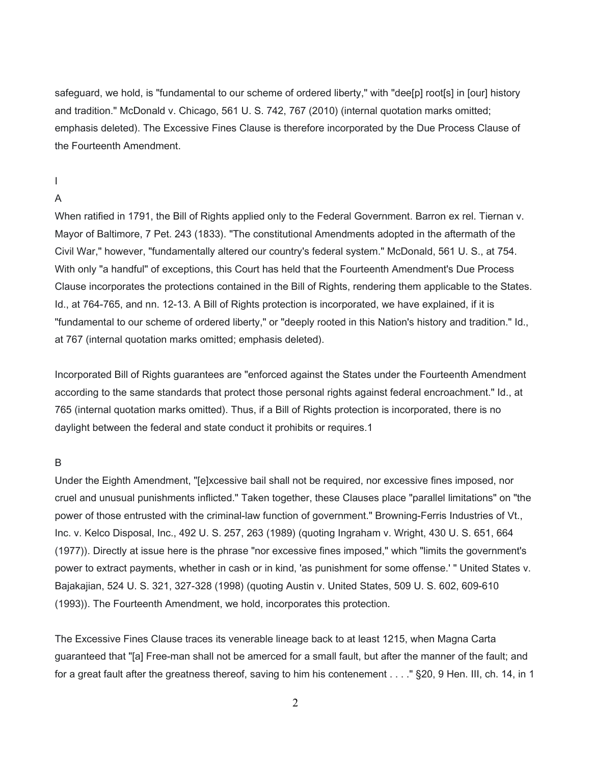safeguard, we hold, is "fundamental to our scheme of ordered liberty," with "dee[p] root[s] in [our] history and tradition." McDonald v. Chicago, 561 U. S. 742, 767 (2010) (internal quotation marks omitted; emphasis deleted). The Excessive Fines Clause is therefore incorporated by the Due Process Clause of the Fourteenth Amendment.

# I

# A

When ratified in 1791, the Bill of Rights applied only to the Federal Government. Barron ex rel. Tiernan v. Mayor of Baltimore, 7 Pet. 243 (1833). "The constitutional Amendments adopted in the aftermath of the Civil War," however, "fundamentally altered our country's federal system." McDonald, 561 U. S., at 754. With only "a handful" of exceptions, this Court has held that the Fourteenth Amendment's Due Process Clause incorporates the protections contained in the Bill of Rights, rendering them applicable to the States. Id., at 764-765, and nn. 12-13. A Bill of Rights protection is incorporated, we have explained, if it is "fundamental to our scheme of ordered liberty," or "deeply rooted in this Nation's history and tradition." Id., at 767 (internal quotation marks omitted; emphasis deleted).

Incorporated Bill of Rights guarantees are "enforced against the States under the Fourteenth Amendment according to the same standards that protect those personal rights against federal encroachment." Id., at 765 (internal quotation marks omitted). Thus, if a Bill of Rights protection is incorporated, there is no daylight between the federal and state conduct it prohibits or requires.1

# B

Under the Eighth Amendment, "[e]xcessive bail shall not be required, nor excessive fines imposed, nor cruel and unusual punishments inflicted." Taken together, these Clauses place "parallel limitations" on "the power of those entrusted with the criminal-law function of government." Browning-Ferris Industries of Vt., Inc. v. Kelco Disposal, Inc., 492 U. S. 257, 263 (1989) (quoting Ingraham v. Wright, 430 U. S. 651, 664 (1977)). Directly at issue here is the phrase "nor excessive fines imposed," which "limits the government's power to extract payments, whether in cash or in kind, 'as punishment for some offense.' " United States v. Bajakajian, 524 U. S. 321, 327-328 (1998) (quoting Austin v. United States, 509 U. S. 602, 609-610 (1993)). The Fourteenth Amendment, we hold, incorporates this protection.

The Excessive Fines Clause traces its venerable lineage back to at least 1215, when Magna Carta guaranteed that "[a] Free-man shall not be amerced for a small fault, but after the manner of the fault; and for a great fault after the greatness thereof, saving to him his contenement . . . ." §20, 9 Hen. III, ch. 14, in 1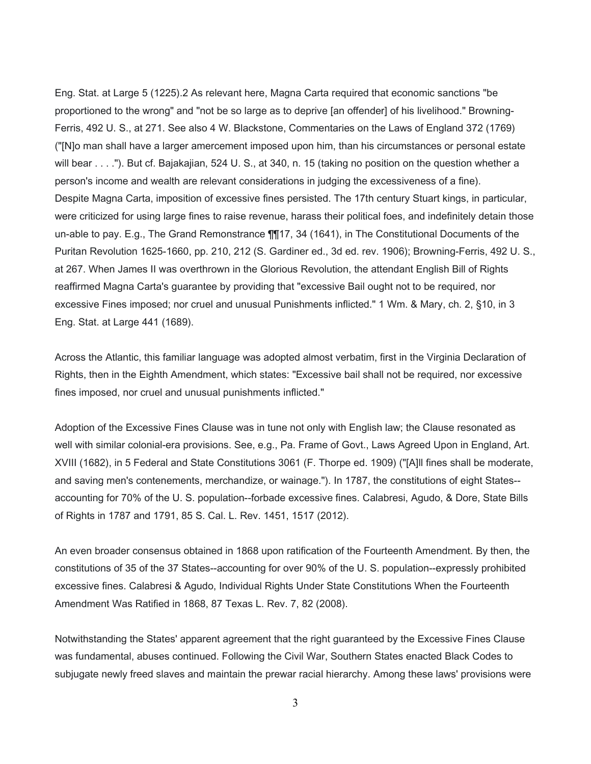Eng. Stat. at Large 5 (1225).2 As relevant here, Magna Carta required that economic sanctions "be proportioned to the wrong" and "not be so large as to deprive [an offender] of his livelihood." Browning-Ferris, 492 U. S., at 271. See also 4 W. Blackstone, Commentaries on the Laws of England 372 (1769) ("[N]o man shall have a larger amercement imposed upon him, than his circumstances or personal estate will bear . . . ."). But cf. Bajakajian, 524 U. S., at 340, n. 15 (taking no position on the question whether a person's income and wealth are relevant considerations in judging the excessiveness of a fine). Despite Magna Carta, imposition of excessive fines persisted. The 17th century Stuart kings, in particular, were criticized for using large fines to raise revenue, harass their political foes, and indefinitely detain those un-able to pay. E.g., The Grand Remonstrance ¶¶17, 34 (1641), in The Constitutional Documents of the Puritan Revolution 1625-1660, pp. 210, 212 (S. Gardiner ed., 3d ed. rev. 1906); Browning-Ferris, 492 U. S., at 267. When James II was overthrown in the Glorious Revolution, the attendant English Bill of Rights reaffirmed Magna Carta's guarantee by providing that "excessive Bail ought not to be required, nor excessive Fines imposed; nor cruel and unusual Punishments inflicted." 1 Wm. & Mary, ch. 2, §10, in 3 Eng. Stat. at Large 441 (1689).

Across the Atlantic, this familiar language was adopted almost verbatim, first in the Virginia Declaration of Rights, then in the Eighth Amendment, which states: "Excessive bail shall not be required, nor excessive fines imposed, nor cruel and unusual punishments inflicted."

Adoption of the Excessive Fines Clause was in tune not only with English law; the Clause resonated as well with similar colonial-era provisions. See, e.g., Pa. Frame of Govt., Laws Agreed Upon in England, Art. XVIII (1682), in 5 Federal and State Constitutions 3061 (F. Thorpe ed. 1909) ("[A]ll fines shall be moderate, and saving men's contenements, merchandize, or wainage."). In 1787, the constitutions of eight States- accounting for 70% of the U. S. population--forbade excessive fines. Calabresi, Agudo, & Dore, State Bills of Rights in 1787 and 1791, 85 S. Cal. L. Rev. 1451, 1517 (2012).

An even broader consensus obtained in 1868 upon ratification of the Fourteenth Amendment. By then, the constitutions of 35 of the 37 States--accounting for over 90% of the U. S. population--expressly prohibited excessive fines. Calabresi & Agudo, Individual Rights Under State Constitutions When the Fourteenth Amendment Was Ratified in 1868, 87 Texas L. Rev. 7, 82 (2008).

Notwithstanding the States' apparent agreement that the right guaranteed by the Excessive Fines Clause was fundamental, abuses continued. Following the Civil War, Southern States enacted Black Codes to subjugate newly freed slaves and maintain the prewar racial hierarchy. Among these laws' provisions were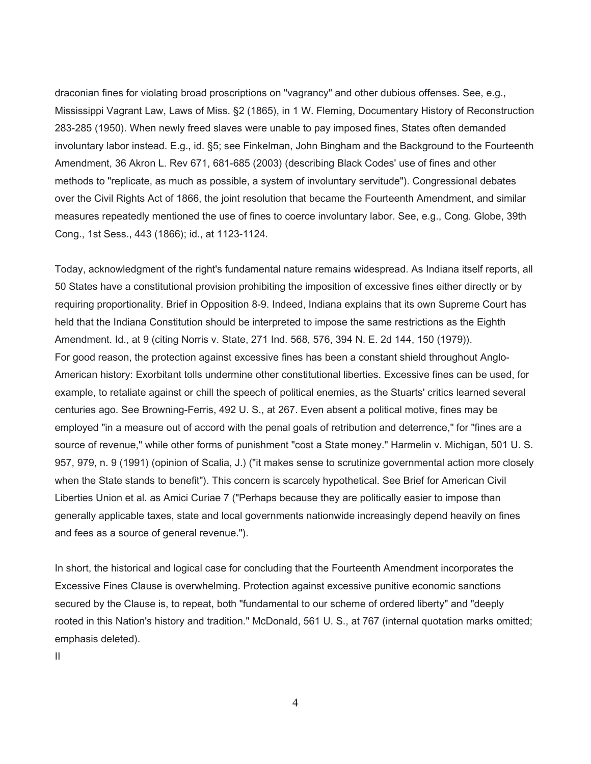draconian fines for violating broad proscriptions on "vagrancy" and other dubious offenses. See, e.g., Mississippi Vagrant Law, Laws of Miss. §2 (1865), in 1 W. Fleming, Documentary History of Reconstruction 283-285 (1950). When newly freed slaves were unable to pay imposed fines, States often demanded involuntary labor instead. E.g., id. §5; see Finkelman, John Bingham and the Background to the Fourteenth Amendment, 36 Akron L. Rev 671, 681-685 (2003) (describing Black Codes' use of fines and other methods to "replicate, as much as possible, a system of involuntary servitude"). Congressional debates over the Civil Rights Act of 1866, the joint resolution that became the Fourteenth Amendment, and similar measures repeatedly mentioned the use of fines to coerce involuntary labor. See, e.g., Cong. Globe, 39th Cong., 1st Sess., 443 (1866); id., at 1123-1124.

Today, acknowledgment of the right's fundamental nature remains widespread. As Indiana itself reports, all 50 States have a constitutional provision prohibiting the imposition of excessive fines either directly or by requiring proportionality. Brief in Opposition 8-9. Indeed, Indiana explains that its own Supreme Court has held that the Indiana Constitution should be interpreted to impose the same restrictions as the Eighth Amendment. Id., at 9 (citing Norris v. State, 271 Ind. 568, 576, 394 N. E. 2d 144, 150 (1979)). For good reason, the protection against excessive fines has been a constant shield throughout Anglo-American history: Exorbitant tolls undermine other constitutional liberties. Excessive fines can be used, for example, to retaliate against or chill the speech of political enemies, as the Stuarts' critics learned several centuries ago. See Browning-Ferris, 492 U. S., at 267. Even absent a political motive, fines may be employed "in a measure out of accord with the penal goals of retribution and deterrence," for "fines are a source of revenue," while other forms of punishment "cost a State money." Harmelin v. Michigan, 501 U. S. 957, 979, n. 9 (1991) (opinion of Scalia, J.) ("it makes sense to scrutinize governmental action more closely when the State stands to benefit"). This concern is scarcely hypothetical. See Brief for American Civil Liberties Union et al. as Amici Curiae 7 ("Perhaps because they are politically easier to impose than generally applicable taxes, state and local governments nationwide increasingly depend heavily on fines and fees as a source of general revenue.").

In short, the historical and logical case for concluding that the Fourteenth Amendment incorporates the Excessive Fines Clause is overwhelming. Protection against excessive punitive economic sanctions secured by the Clause is, to repeat, both "fundamental to our scheme of ordered liberty" and "deeply rooted in this Nation's history and tradition." McDonald, 561 U. S., at 767 (internal quotation marks omitted; emphasis deleted).

II

4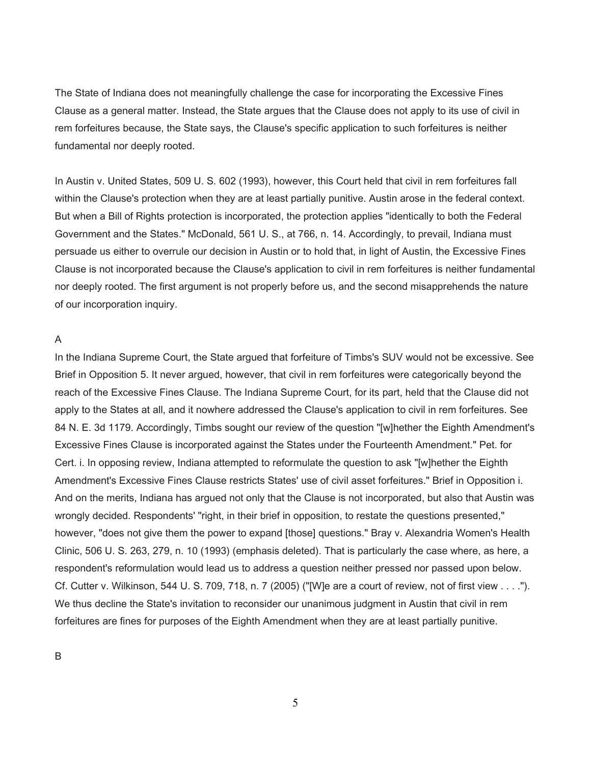The State of Indiana does not meaningfully challenge the case for incorporating the Excessive Fines Clause as a general matter. Instead, the State argues that the Clause does not apply to its use of civil in rem forfeitures because, the State says, the Clause's specific application to such forfeitures is neither fundamental nor deeply rooted.

In Austin v. United States, 509 U. S. 602 (1993), however, this Court held that civil in rem forfeitures fall within the Clause's protection when they are at least partially punitive. Austin arose in the federal context. But when a Bill of Rights protection is incorporated, the protection applies "identically to both the Federal Government and the States." McDonald, 561 U. S., at 766, n. 14. Accordingly, to prevail, Indiana must persuade us either to overrule our decision in Austin or to hold that, in light of Austin, the Excessive Fines Clause is not incorporated because the Clause's application to civil in rem forfeitures is neither fundamental nor deeply rooted. The first argument is not properly before us, and the second misapprehends the nature of our incorporation inquiry.

#### A

In the Indiana Supreme Court, the State argued that forfeiture of Timbs's SUV would not be excessive. See Brief in Opposition 5. It never argued, however, that civil in rem forfeitures were categorically beyond the reach of the Excessive Fines Clause. The Indiana Supreme Court, for its part, held that the Clause did not apply to the States at all, and it nowhere addressed the Clause's application to civil in rem forfeitures. See 84 N. E. 3d 1179. Accordingly, Timbs sought our review of the question "[w]hether the Eighth Amendment's Excessive Fines Clause is incorporated against the States under the Fourteenth Amendment." Pet. for Cert. i. In opposing review, Indiana attempted to reformulate the question to ask "[w]hether the Eighth Amendment's Excessive Fines Clause restricts States' use of civil asset forfeitures." Brief in Opposition i. And on the merits, Indiana has argued not only that the Clause is not incorporated, but also that Austin was wrongly decided. Respondents' "right, in their brief in opposition, to restate the questions presented," however, "does not give them the power to expand [those] questions." Bray v. Alexandria Women's Health Clinic, 506 U. S. 263, 279, n. 10 (1993) (emphasis deleted). That is particularly the case where, as here, a respondent's reformulation would lead us to address a question neither pressed nor passed upon below. Cf. Cutter v. Wilkinson, 544 U. S. 709, 718, n. 7 (2005) ("[W]e are a court of review, not of first view . . . ."). We thus decline the State's invitation to reconsider our unanimous judgment in Austin that civil in rem forfeitures are fines for purposes of the Eighth Amendment when they are at least partially punitive.

B